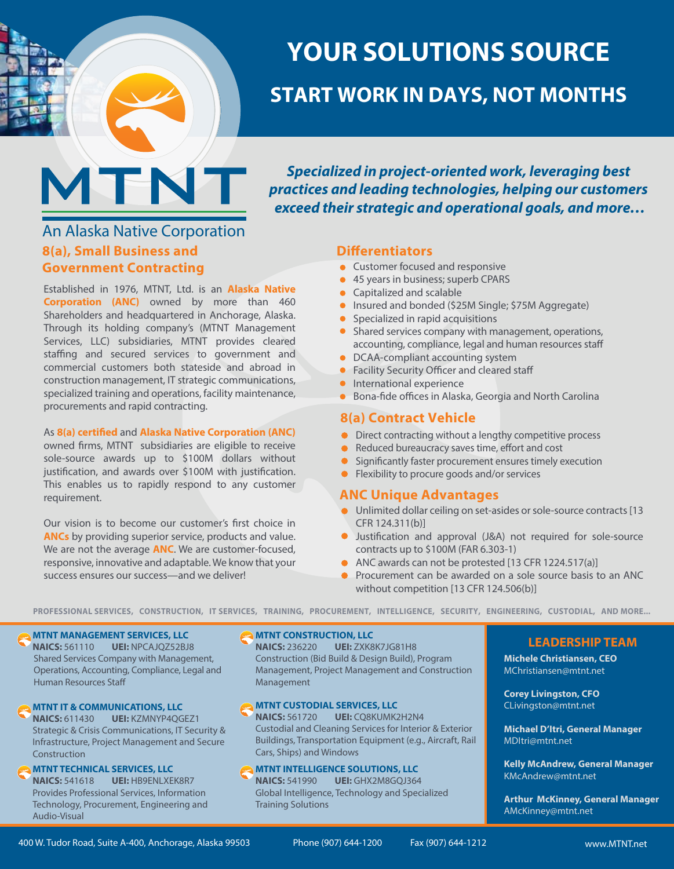

An Alaska Native Corporation

**8(a), Small Business and Government Contracting**

procurements and rapid contracting.

Established in 1976, MTNT, Ltd. is an **Alaska Native Corporation (ANC)** owned by more than 460 Shareholders and headquartered in Anchorage, Alaska. Through its holding company's (MTNT Management Services, LLC) subsidiaries, MTNT provides cleared staffing and secured services to government and commercial customers both stateside and abroad in construction management, IT strategic communications, specialized training and operations, facility maintenance,

As 8(a) certified and Alaska Native Corporation (ANC) owned firms, MTNT subsidiaries are eligible to receive sole-source awards up to \$100M dollars without justification, and awards over \$100M with justification. This enables us to rapidly respond to any customer

Our vision is to become our customer's first choice in **ANCs** by providing superior service, products and value. We are not the average **ANC**. We are customer-focused, responsive, innovative and adaptable. We know that your

success ensures our success—and we deliver!

# **YOUR SOLUTIONS SOURCE**

## **START WORK IN DAYS, NOT MONTHS**

*Specialized in project-oriented work, leveraging best practices and leading technologies, helping our customers exceed their strategic and operational goals, and more…*

### **Differentiators**

- **Customer focused and responsive**
- 45 years in business; superb CPARS
- Capitalized and scalable
- **Insured and bonded (\$25M Single; \$75M Aggregate)**
- Specialized in rapid acquisitions  $\bullet$
- Shared services company with management, operations, accounting, compliance, legal and human resources staff
- DCAA-compliant accounting system  $\bullet$
- Facility Security Officer and cleared staff
- **International experience**
- **Bona-fide offices in Alaska, Georgia and North Carolina**

### **8(a) Contract Vehicle**

- Direct contracting without a lengthy competitive process
- $\bullet$  Reduced bureaucracy saves time, effort and cost
- Significantly faster procurement ensures timely execution
- Flexibility to procure goods and/or services

### **ANC Unique Advantages**

- Unlimited dollar ceiling on set-asides or sole-source contracts [13 CFR 124.311(b)]
- **O** Justification and approval (J&A) not required for sole-source contracts up to \$100M (FAR 6.303-1)
- ANC awards can not be protested [13 CFR 1224.517(a)]
- **Procurement can be awarded on a sole source basis to an ANC** without competition [13 CFR 124.506(b)]

**PROFESSIONAL SERVICES, CONSTRUCTION, IT SERVICES, TRAINING, PROCUREMENT, INTELLIGENCE, SECURITY, ENGINEERING, CUSTODIAL, AND MORE...**

### **MTNT MANAGEMENT SERVICES, LLC**

requirement.

**NAICS:** 561110 **UEI:** NPCAJQZ52BJ8 Shared Services Company with Management, Operations, Accounting, Compliance, Legal and Human Resources Sta

**MTNT IT & COMMUNICATIONS, LLC**

**NAICS:** 611430 **UEI:** KZMNYP4QGEZ1 Strategic & Crisis Communications, IT Security & Infrastructure, Project Management and Secure **Construction** 

### **MTNT TECHNICAL SERVICES, LLC**

**NAICS:** 541618 **UEI:** HB9ENLXEK8R7 Provides Professional Services, Information Technology, Procurement, Engineering and Audio-Visual

#### **MTNT CONSTRUCTION, LLC**

AN ALASKA NATIVE CORPORATION

Management, Project Management and Construction **NAICS:** 236220 **UEI:** ZXK8K7JG81H8 Construction (Bid Build & Design Build), Program Management

### **MTNT CUSTODIAL SERVICES, LLC**

**NAICS:** 561720 **UEI:** CQ8KUMK2H2N4 Custodial and Cleaning Services for Interior & Exterior Buildings, Transportation Equipment (e.g., Aircraft, Rail Cars, Ships) and Windows

### **MTNT INTELLIGENCE SOLUTIONS, LLC**

**NAICS:** 541990 **UEI:** GHX2M8GQJ364 Global Intelligence, Technology and Specialized Training Solutions

**Michele Christiansen, CEO** MChristiansen@mtnt.net

**Corey Livingston, CFO**  CLivingston@mtnt.net

**Michael D'Itri, General Manager** MDItri@mtnt.net

**Kelly McAndrew, General Manager** KMcAndrew@mtnt.net

**Arthur McKinney, General Manager** AMcKinney@mtnt.net

**LEADERSHIP TEAM**